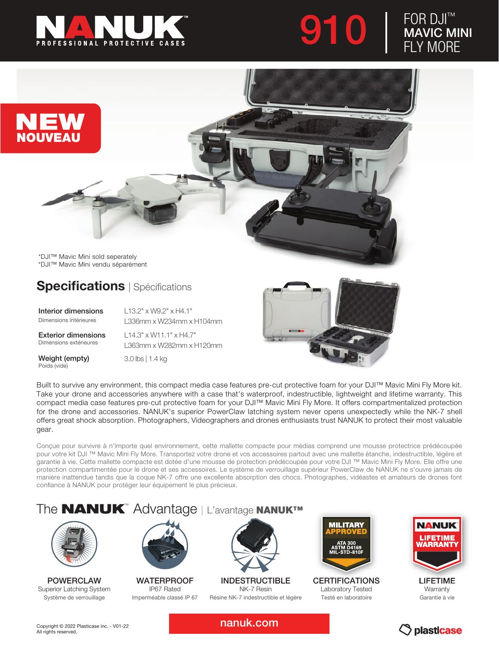

910

## FOR DJI™ MAVIC MINI FLY MORE



\*DJI™ Mavic Mini vendu séparément

## **Specifications** | Spécifications

Interior dimensions Dimensions intérieures

L13.2" x W9.2" x H4.1" L336mm x W234mm x H104mm

Exterior dimensions Dimensions extérieures

Weight (empty) Poids (vide)

L14.3" x W11.1" x H4.7" L363mm x W282mm x H120mm

3.0 lbs | 1.4 kg



Built to survive any environment, this compact media case features pre-cut protective foam for your DJI™ Mavic Mini Fly More kit. Take your drone and accessories anywhere with a case that's waterproof, indestructible, lightweight and lifetime warranty. This compact media case features pre-cut protective foam for your DJI™ Mavic Mini Fly More. It offers compartmentalized protection for the drone and accessories. NANUK's superior PowerClaw latching system never opens unexpectedly while the NK-7 shell offers great shock absorption. Photographers, Videographers and drones enthusiasts trust NANUK to protect their most valuable gear.

Conçue pour survivre à n'importe quel environnement, cette mallette compacte pour médias comprend une mousse protectrice prédécoupée pour votre kit DJI ™ Mavic Mini Fly More. Transportez votre drone et vos accessoires partout avec une mallette étanche, indestructible, légère et garantie à vie. Cette mallette compacte est dotée d'une mousse de protection prédécoupée pour votre DJI ™ Mavic Mini Fly More. Elle offre une protection compartimentée pour le drone et ses accessoires. Le système de verrouillage supérieur PowerClaw de NANUK ne s'ouvre jamais de manière inattendue tandis que la coque NK-7 offre une excellente absorption des chocs. Photographes, vidéastes et amateurs de drones font confiance à NANUK pour protéger leur équipement le plus précieux.

## The **NANUK**™ Advantage | L'avantage NANUK™



POWERCLAW Superior Latching System Système de verrouillage



WATERPROOF IP67 Rated Imperméable classé IP 67



INDESTRUCTIBLE NK-7 Resin Résine NK-7 indestructible et légère



**CERTIFICATIONS** Laboratory Tested Testé en laboratoire



**Warranty** Garantie à vie